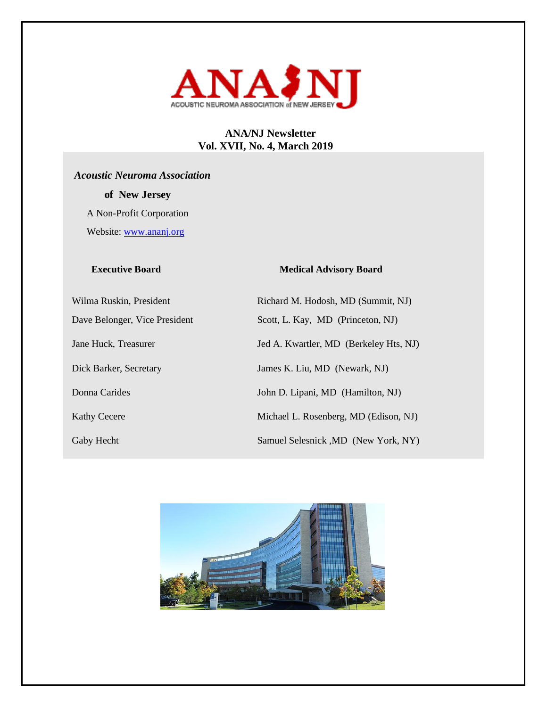

## **ANA/NJ Newsletter Vol. XVII, No. 4, March 2019**

# *Acoustic Neuroma Association*

 **of New Jersey** 

 A Non-Profit Corporation Website: [www.ananj.org](http://www.ananj.org/)

### **Executive Board Medical Advisory Board**

Wilma Ruskin, President Richard M. Hodosh, MD (Summit, NJ) Dave Belonger, Vice President Scott, L. Kay, MD (Princeton, NJ) Jane Huck, Treasurer Jed A. Kwartler, MD (Berkeley Hts, NJ) Dick Barker, Secretary James K. Liu, MD (Newark, NJ) Donna Carides John D. Lipani, MD (Hamilton, NJ) Kathy Cecere Michael L. Rosenberg, MD (Edison, NJ) Gaby Hecht Samuel Selesnick ,MD (New York, NY)

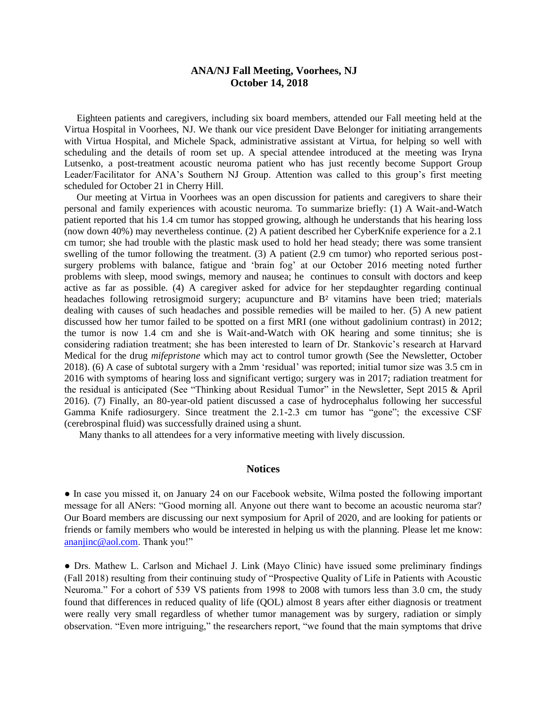### **ANA/NJ Fall Meeting, Voorhees, NJ October 14, 2018**

 Eighteen patients and caregivers, including six board members, attended our Fall meeting held at the Virtua Hospital in Voorhees, NJ. We thank our vice president Dave Belonger for initiating arrangements with Virtua Hospital, and Michele Spack, administrative assistant at Virtua, for helping so well with scheduling and the details of room set up. A special attendee introduced at the meeting was Iryna Lutsenko, a post-treatment acoustic neuroma patient who has just recently become Support Group Leader/Facilitator for ANA's Southern NJ Group. Attention was called to this group's first meeting scheduled for October 21 in Cherry Hill.

 Our meeting at Virtua in Voorhees was an open discussion for patients and caregivers to share their personal and family experiences with acoustic neuroma. To summarize briefly: (1) A Wait-and-Watch patient reported that his 1.4 cm tumor has stopped growing, although he understands that his hearing loss (now down 40%) may nevertheless continue. (2) A patient described her CyberKnife experience for a 2.1 cm tumor; she had trouble with the plastic mask used to hold her head steady; there was some transient swelling of the tumor following the treatment. (3) A patient (2.9 cm tumor) who reported serious postsurgery problems with balance, fatigue and 'brain fog' at our October 2016 meeting noted further problems with sleep, mood swings, memory and nausea; he continues to consult with doctors and keep active as far as possible. (4) A caregiver asked for advice for her stepdaughter regarding continual headaches following retrosigmoid surgery; acupuncture and B<sup>2</sup> vitamins have been tried; materials dealing with causes of such headaches and possible remedies will be mailed to her. (5) A new patient discussed how her tumor failed to be spotted on a first MRI (one without gadolinium contrast) in 2012; the tumor is now 1.4 cm and she is Wait-and-Watch with OK hearing and some tinnitus; she is considering radiation treatment; she has been interested to learn of Dr. Stankovic's research at Harvard Medical for the drug *mifepristone* which may act to control tumor growth (See the Newsletter, October 2018). (6) A case of subtotal surgery with a 2mm 'residual' was reported; initial tumor size was 3.5 cm in 2016 with symptoms of hearing loss and significant vertigo; surgery was in 2017; radiation treatment for the residual is anticipated (See "Thinking about Residual Tumor" in the Newsletter, Sept 2015 & April 2016). (7) Finally, an 80-year-old patient discussed a case of hydrocephalus following her successful Gamma Knife radiosurgery. Since treatment the 2.1-2.3 cm tumor has "gone"; the excessive CSF (cerebrospinal fluid) was successfully drained using a shunt.

Many thanks to all attendees for a very informative meeting with lively discussion.

### **Notices**

● In case you missed it, on January 24 on our Facebook website, Wilma posted the following important message for all ANers: "Good morning all. Anyone out there want to become an acoustic neuroma star? Our Board members are discussing our next symposium for April of 2020, and are looking for patients or friends or family members who would be interested in helping us with the planning. Please let me know: [ananjinc@aol.com.](mailto:ananjinc@aol.com) Thank you!"

● Drs. Mathew L. Carlson and Michael J. Link (Mayo Clinic) have issued some preliminary findings (Fall 2018) resulting from their continuing study of "Prospective Quality of Life in Patients with Acoustic Neuroma." For a cohort of 539 VS patients from 1998 to 2008 with tumors less than 3.0 cm, the study found that differences in reduced quality of life (QOL) almost 8 years after either diagnosis or treatment were really very small regardless of whether tumor management was by surgery, radiation or simply observation. "Even more intriguing," the researchers report, "we found that the main symptoms that drive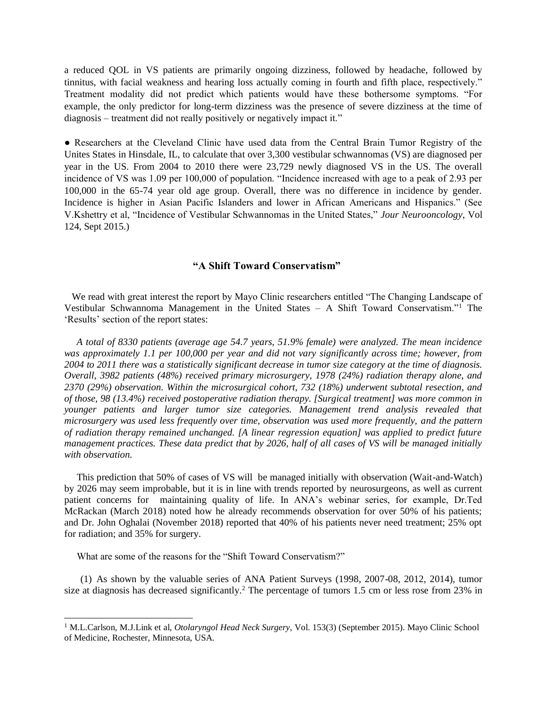a reduced QOL in VS patients are primarily ongoing dizziness, followed by headache, followed by tinnitus, with facial weakness and hearing loss actually coming in fourth and fifth place, respectively." Treatment modality did not predict which patients would have these bothersome symptoms. "For example, the only predictor for long-term dizziness was the presence of severe dizziness at the time of diagnosis – treatment did not really positively or negatively impact it."

● Researchers at the Cleveland Clinic have used data from the Central Brain Tumor Registry of the Unites States in Hinsdale, IL, to calculate that over 3,300 vestibular schwannomas (VS) are diagnosed per year in the US. From 2004 to 2010 there were 23,729 newly diagnosed VS in the US. The overall incidence of VS was 1.09 per 100,000 of population. "Incidence increased with age to a peak of 2.93 per 100,000 in the 65-74 year old age group. Overall, there was no difference in incidence by gender. Incidence is higher in Asian Pacific Islanders and lower in African Americans and Hispanics." (See V.Kshettry et al, "Incidence of Vestibular Schwannomas in the United States," *Jour Neurooncology*, Vol 124, Sept 2015.)

### **"A Shift Toward Conservatism"**

We read with great interest the report by Mayo Clinic researchers entitled "The Changing Landscape of Vestibular Schwannoma Management in the United States – A Shift Toward Conservatism."<sup>1</sup> The 'Results' section of the report states:

 *A total of 8330 patients (average age 54.7 years, 51.9% female) were analyzed. The mean incidence was approximately 1.1 per 100,000 per year and did not vary significantly across time; however, from 2004 to 2011 there was a statistically significant decrease in tumor size category at the time of diagnosis. Overall, 3982 patients (48%) received primary microsurgery, 1978 (24%) radiation therapy alone, and 2370 (29%) observation. Within the microsurgical cohort, 732 (18%) underwent subtotal resection, and of those, 98 (13.4%) received postoperative radiation therapy. [Surgical treatment] was more common in younger patients and larger tumor size categories. Management trend analysis revealed that microsurgery was used less frequently over time, observation was used more frequently, and the pattern of radiation therapy remained unchanged. [A linear regression equation] was applied to predict future management practices. These data predict that by 2026, half of all cases of VS will be managed initially with observation.* 

 This prediction that 50% of cases of VS will be managed initially with observation (Wait-and-Watch) by 2026 may seem improbable, but it is in line with trends reported by neurosurgeons, as well as current patient concerns for maintaining quality of life. In ANA's webinar series, for example, Dr.Ted McRackan (March 2018) noted how he already recommends observation for over 50% of his patients; and Dr. John Oghalai (November 2018) reported that 40% of his patients never need treatment; 25% opt for radiation; and 35% for surgery.

What are some of the reasons for the "Shift Toward Conservatism?"

 $\overline{a}$ 

(1) As shown by the valuable series of ANA Patient Surveys (1998, 2007-08, 2012, 2014), tumor size at diagnosis has decreased significantly.<sup>2</sup> The percentage of tumors 1.5 cm or less rose from 23% in

<sup>1</sup> M.L.Carlson, M.J.Link et al, *Otolaryngol Head Neck Surgery*, Vol. 153(3) (September 2015). Mayo Clinic School of Medicine, Rochester, Minnesota, USA.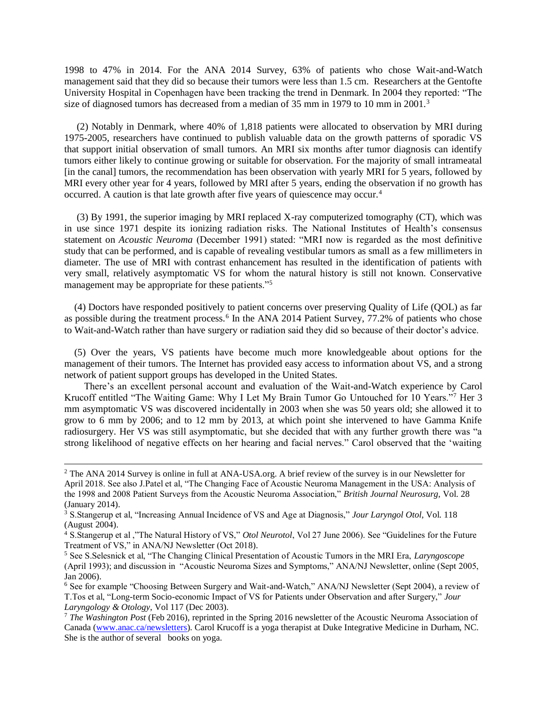1998 to 47% in 2014. For the ANA 2014 Survey, 63% of patients who chose Wait-and-Watch management said that they did so because their tumors were less than 1.5 cm. Researchers at the Gentofte University Hospital in Copenhagen have been tracking the trend in Denmark. In 2004 they reported: "The size of diagnosed tumors has decreased from a median of 35 mm in 1979 to 10 mm in 2001.<sup>3</sup>

 (2) Notably in Denmark, where 40% of 1,818 patients were allocated to observation by MRI during 1975-2005, researchers have continued to publish valuable data on the growth patterns of sporadic VS that support initial observation of small tumors. An MRI six months after tumor diagnosis can identify tumors either likely to continue growing or suitable for observation. For the majority of small intrameatal [in the canal] tumors, the recommendation has been observation with yearly MRI for 5 years, followed by MRI every other year for 4 years, followed by MRI after 5 years, ending the observation if no growth has occurred. A caution is that late growth after five years of quiescence may occur.<sup>4</sup>

 (3) By 1991, the superior imaging by MRI replaced X-ray computerized tomography (CT), which was in use since 1971 despite its ionizing radiation risks. The National Institutes of Health's consensus statement on *Acoustic Neuroma* (December 1991) stated: "MRI now is regarded as the most definitive study that can be performed, and is capable of revealing vestibular tumors as small as a few millimeters in diameter. The use of MRI with contrast enhancement has resulted in the identification of patients with very small, relatively asymptomatic VS for whom the natural history is still not known. Conservative management may be appropriate for these patients."<sup>5</sup>

 (4) Doctors have responded positively to patient concerns over preserving Quality of Life (QOL) as far as possible during the treatment process.<sup>6</sup> In the ANA 2014 Patient Survey, 77.2% of patients who chose to Wait-and-Watch rather than have surgery or radiation said they did so because of their doctor's advice.

 (5) Over the years, VS patients have become much more knowledgeable about options for the management of their tumors. The Internet has provided easy access to information about VS, and a strong network of patient support groups has developed in the United States.

 There's an excellent personal account and evaluation of the Wait-and-Watch experience by Carol Krucoff entitled "The Waiting Game: Why I Let My Brain Tumor Go Untouched for 10 Years."<sup>7</sup> Her 3 mm asymptomatic VS was discovered incidentally in 2003 when she was 50 years old; she allowed it to grow to 6 mm by 2006; and to 12 mm by 2013, at which point she intervened to have Gamma Knife radiosurgery. Her VS was still asymptomatic, but she decided that with any further growth there was "a strong likelihood of negative effects on her hearing and facial nerves." Carol observed that the 'waiting

<sup>&</sup>lt;sup>2</sup> The ANA 2014 Survey is online in full at ANA-USA.org. A brief review of the survey is in our Newsletter for April 2018. See also J.Patel et al, "The Changing Face of Acoustic Neuroma Management in the USA: Analysis of the 1998 and 2008 Patient Surveys from the Acoustic Neuroma Association," *British Journal Neurosurg*, Vol. 28 (January 2014).

<sup>3</sup> S.Stangerup et al, "Increasing Annual Incidence of VS and Age at Diagnosis," *Jour Laryngol Otol*, Vol. 118 (August 2004).

<sup>4</sup> S.Stangerup et al ,"The Natural History of VS," *Otol Neurotol*, Vol 27 June 2006). See "Guidelines for the Future Treatment of VS," in ANA/NJ Newsletter (Oct 2018).

<sup>5</sup> See S.Selesnick et al, "The Changing Clinical Presentation of Acoustic Tumors in the MRI Era, *Laryngoscope* (April 1993); and discussion in "Acoustic Neuroma Sizes and Symptoms," ANA/NJ Newsletter, online (Sept 2005, Jan 2006).

<sup>6</sup> See for example "Choosing Between Surgery and Wait-and-Watch," ANA/NJ Newsletter (Sept 2004), a review of T.Tos et al, "Long-term Socio-economic Impact of VS for Patients under Observation and after Surgery," *Jour Laryngology & Otology*, Vol 117 (Dec 2003).

<sup>7</sup> *The Washington Post* (Feb 2016), reprinted in the Spring 2016 newsletter of the Acoustic Neuroma Association of Canada [\(www.anac.ca/newsletters\)](http://www.anac.ca/newsletters). Carol Krucoff is a yoga therapist at Duke Integrative Medicine in Durham, NC. She is the author of several books on yoga.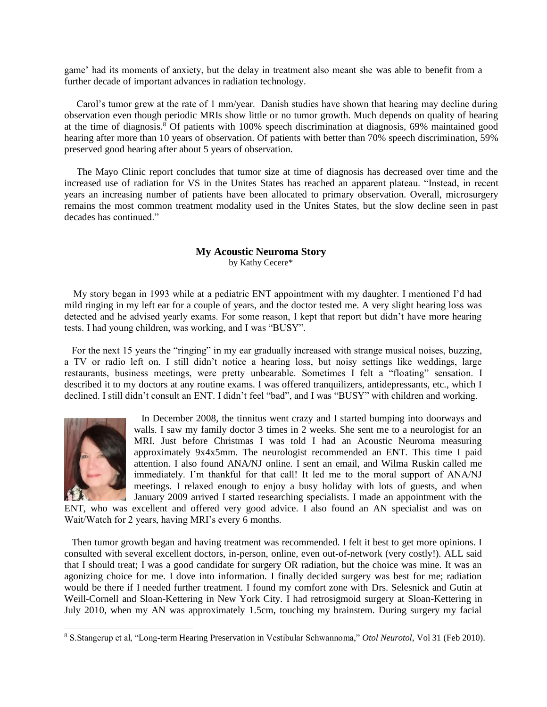game' had its moments of anxiety, but the delay in treatment also meant she was able to benefit from a further decade of important advances in radiation technology.

 Carol's tumor grew at the rate of 1 mm/year. Danish studies have shown that hearing may decline during observation even though periodic MRIs show little or no tumor growth. Much depends on quality of hearing at the time of diagnosis.<sup>8</sup> Of patients with 100% speech discrimination at diagnosis,  $69\%$  maintained good hearing after more than 10 years of observation. Of patients with better than 70% speech discrimination, 59% preserved good hearing after about 5 years of observation.

 The Mayo Clinic report concludes that tumor size at time of diagnosis has decreased over time and the increased use of radiation for VS in the Unites States has reached an apparent plateau. "Instead, in recent years an increasing number of patients have been allocated to primary observation. Overall, microsurgery remains the most common treatment modality used in the Unites States, but the slow decline seen in past decades has continued."

### **My Acoustic Neuroma Story** by Kathy Cecere\*

 My story began in 1993 while at a pediatric ENT appointment with my daughter. I mentioned I'd had mild ringing in my left ear for a couple of years, and the doctor tested me. A very slight hearing loss was detected and he advised yearly exams. For some reason, I kept that report but didn't have more hearing tests. I had young children, was working, and I was "BUSY".

 For the next 15 years the "ringing" in my ear gradually increased with strange musical noises, buzzing, a TV or radio left on. I still didn't notice a hearing loss, but noisy settings like weddings, large restaurants, business meetings, were pretty unbearable. Sometimes I felt a "floating" sensation. I described it to my doctors at any routine exams. I was offered tranquilizers, antidepressants, etc., which I declined. I still didn't consult an ENT. I didn't feel "bad", and I was "BUSY" with children and working.



 In December 2008, the tinnitus went crazy and I started bumping into doorways and walls. I saw my family doctor 3 times in 2 weeks. She sent me to a neurologist for an MRI. Just before Christmas I was told I had an Acoustic Neuroma measuring approximately 9x4x5mm. The neurologist recommended an ENT. This time I paid attention. I also found ANA/NJ online. I sent an email, and Wilma Ruskin called me immediately. I'm thankful for that call! It led me to the moral support of ANA/NJ meetings. I relaxed enough to enjoy a busy holiday with lots of guests, and when January 2009 arrived I started researching specialists. I made an appointment with the

ENT, who was excellent and offered very good advice. I also found an AN specialist and was on Wait/Watch for 2 years, having MRI's every 6 months.

 Then tumor growth began and having treatment was recommended. I felt it best to get more opinions. I consulted with several excellent doctors, in-person, online, even out-of-network (very costly!). ALL said that I should treat; I was a good candidate for surgery OR radiation, but the choice was mine. It was an agonizing choice for me. I dove into information. I finally decided surgery was best for me; radiation would be there if I needed further treatment. I found my comfort zone with Drs. Selesnick and Gutin at Weill-Cornell and Sloan-Kettering in New York City. I had retrosigmoid surgery at Sloan-Kettering in July 2010, when my AN was approximately 1.5cm, touching my brainstem. During surgery my facial

<sup>8</sup> S.Stangerup et al, "Long-term Hearing Preservation in Vestibular Schwannoma," *Otol Neurotol*, Vol 31 (Feb 2010).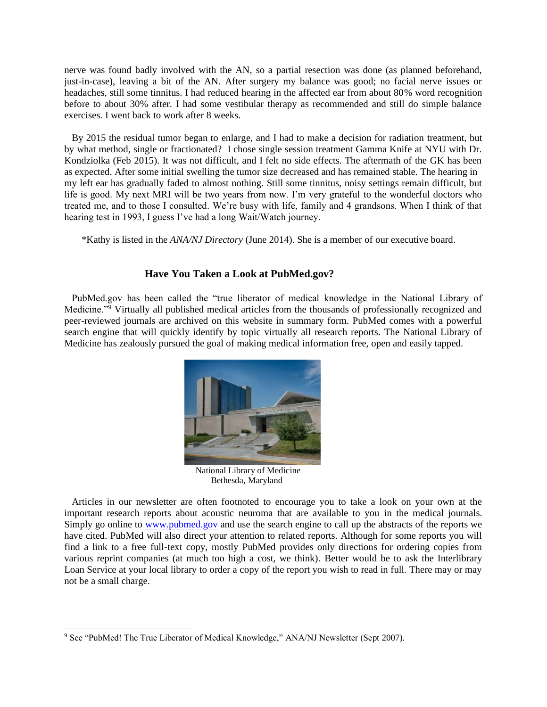nerve was found badly involved with the AN, so a partial resection was done (as planned beforehand, just-in-case), leaving a bit of the AN. After surgery my balance was good; no facial nerve issues or headaches, still some tinnitus. I had reduced hearing in the affected ear from about 80% word recognition before to about 30% after. I had some vestibular therapy as recommended and still do simple balance exercises. I went back to work after 8 weeks.

 By 2015 the residual tumor began to enlarge, and I had to make a decision for radiation treatment, but by what method, single or fractionated? I chose single session treatment Gamma Knife at NYU with Dr. Kondziolka (Feb 2015). It was not difficult, and I felt no side effects. The aftermath of the GK has been as expected. After some initial swelling the tumor size decreased and has remained stable. The hearing in my left ear has gradually faded to almost nothing. Still some tinnitus, noisy settings remain difficult, but life is good. My next MRI will be two years from now. I'm very grateful to the wonderful doctors who treated me, and to those I consulted. We're busy with life, family and 4 grandsons. When I think of that hearing test in 1993, I guess I've had a long Wait/Watch journey.

\*Kathy is listed in the *ANA/NJ Directory* (June 2014). She is a member of our executive board.

### **Have You Taken a Look at PubMed.gov?**

 PubMed.gov has been called the "true liberator of medical knowledge in the National Library of Medicine."<sup>9</sup> Virtually all published medical articles from the thousands of professionally recognized and peer-reviewed journals are archived on this website in summary form. PubMed comes with a powerful search engine that will quickly identify by topic virtually all research reports. The National Library of Medicine has zealously pursued the goal of making medical information free, open and easily tapped.



National Library of Medicine Bethesda, Maryland

 Articles in our newsletter are often footnoted to encourage you to take a look on your own at the important research reports about acoustic neuroma that are available to you in the medical journals. Simply go online to [www.pubmed.gov](http://www.pubmed.gov/) and use the search engine to call up the abstracts of the reports we have cited. PubMed will also direct your attention to related reports. Although for some reports you will find a link to a free full-text copy, mostly PubMed provides only directions for ordering copies from various reprint companies (at much too high a cost, we think). Better would be to ask the Interlibrary Loan Service at your local library to order a copy of the report you wish to read in full. There may or may not be a small charge.

<sup>9</sup> See "PubMed! The True Liberator of Medical Knowledge," ANA/NJ Newsletter (Sept 2007).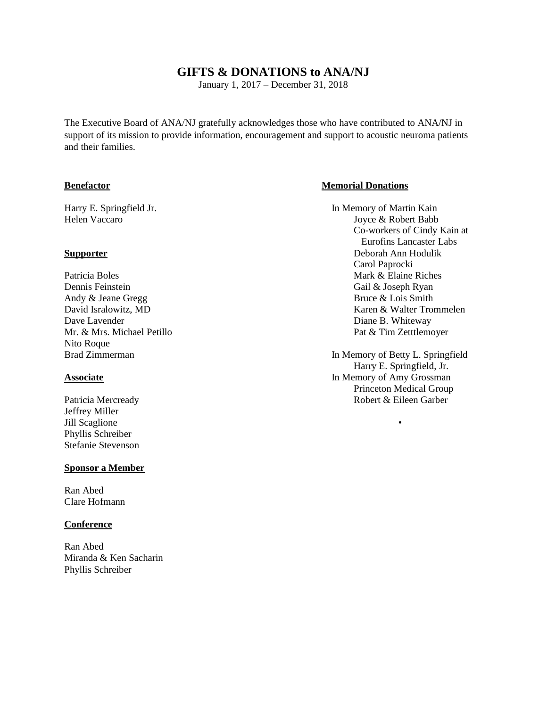## **GIFTS & DONATIONS to ANA/NJ**

January 1, 2017 – December 31, 2018

The Executive Board of ANA/NJ gratefully acknowledges those who have contributed to ANA/NJ in support of its mission to provide information, encouragement and support to acoustic neuroma patients and their families.

Patricia Boles **Mark & Elaine Riches** Mark & Elaine Riches Dennis Feinstein Gail & Joseph Ryan Andy & Jeane Gregg Bruce & Lois Smith Dave Lavender Diane B. Whiteway Nito Roque

Jeffrey Miller Jill Scaglione Phyllis Schreiber Stefanie Stevenson

### **Sponsor a Member**

Ran Abed Clare Hofmann

### **Conference**

Ran Abed Miranda & Ken Sacharin Phyllis Schreiber

### **Benefactor Memorial Donations**

Harry E. Springfield Jr. **In Memory of Martin Kain** Helen Vaccaro Joyce & Robert Babb Co-workers of Cindy Kain at Eurofins Lancaster Labs **Supporter** Deborah Ann Hodulik Carol Paprocki David Isralowitz, MD **Karen & Walter Trommelen** Mr. & Mrs. Michael Petillo Pat & Tim Zetttlemoyer

Brad Zimmerman **In Memory of Betty L. Springfield** Harry E. Springfield, Jr. **Associate** In Memory of Amy Grossman Princeton Medical Group Patricia Mercready **Robert & Eileen Garber** Robert & Eileen Garber